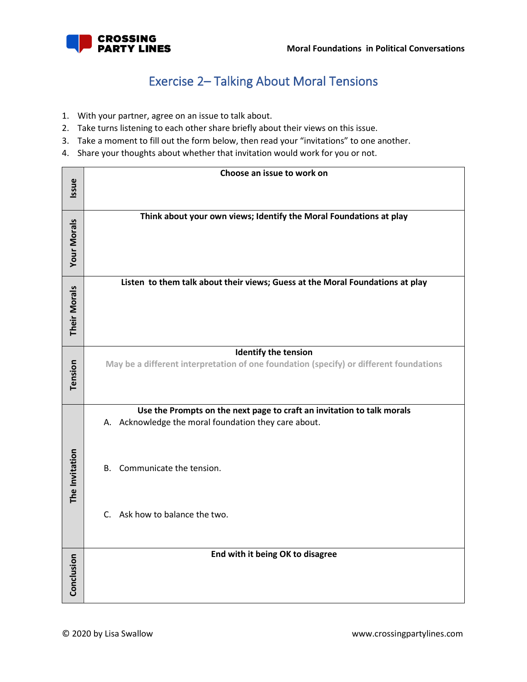

# Exercise 2– Talking About Moral Tensions

- 1. With your partner, agree on an issue to talk about.
- 2. Take turns listening to each other share briefly about their views on this issue.
- 3. Take a moment to fill out the form below, then read your "invitations" to one another.
- 4. Share your thoughts about whether that invitation would work for you or not.

|                     | Choose an issue to work on                                                                                                     |
|---------------------|--------------------------------------------------------------------------------------------------------------------------------|
| <b>Issue</b>        |                                                                                                                                |
|                     |                                                                                                                                |
|                     | Think about your own views; Identify the Moral Foundations at play                                                             |
| <b>Your Morals</b>  |                                                                                                                                |
|                     |                                                                                                                                |
|                     |                                                                                                                                |
|                     | Listen to them talk about their views; Guess at the Moral Foundations at play                                                  |
| <b>Their Morals</b> |                                                                                                                                |
|                     |                                                                                                                                |
|                     |                                                                                                                                |
|                     | <b>Identify the tension</b>                                                                                                    |
| Tension             | May be a different interpretation of one foundation (specify) or different foundations                                         |
|                     |                                                                                                                                |
|                     |                                                                                                                                |
|                     | Use the Prompts on the next page to craft an invitation to talk morals<br>A. Acknowledge the moral foundation they care about. |
|                     |                                                                                                                                |
|                     |                                                                                                                                |
| The Invitation      | B. Communicate the tension.                                                                                                    |
|                     |                                                                                                                                |
|                     |                                                                                                                                |
|                     | C. Ask how to balance the two.                                                                                                 |
|                     |                                                                                                                                |
|                     |                                                                                                                                |
|                     | End with it being OK to disagree                                                                                               |
| Conclusion          |                                                                                                                                |
|                     |                                                                                                                                |